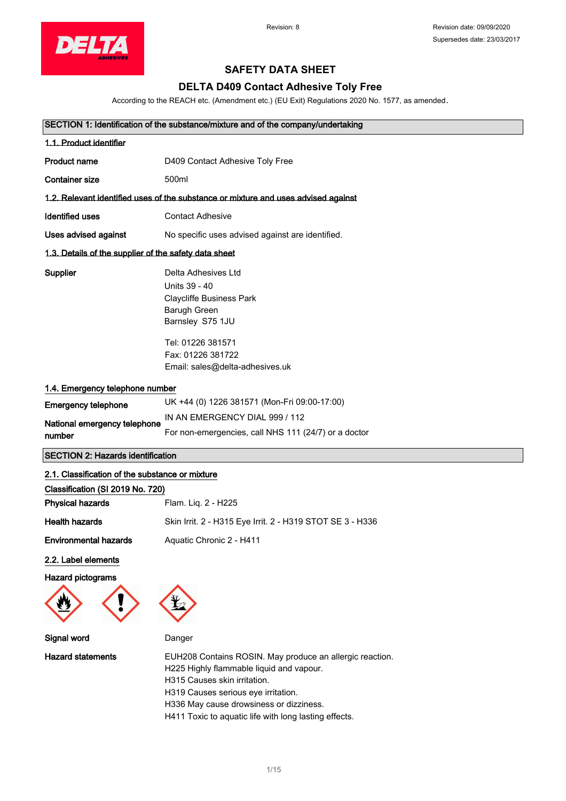

## **SAFETY DATA SHEET**

## **DELTA D409 Contact Adhesive Toly Free**

According to the REACH etc. (Amendment etc.) (EU Exit) Regulations 2020 No. 1577, as amended.

| SECTION 1: Identification of the substance/mixture and of the company/undertaking |                                                                                                                                                                                          |  |
|-----------------------------------------------------------------------------------|------------------------------------------------------------------------------------------------------------------------------------------------------------------------------------------|--|
| 1.1. Product identifier                                                           |                                                                                                                                                                                          |  |
| Product name                                                                      | D409 Contact Adhesive Toly Free                                                                                                                                                          |  |
| <b>Container size</b>                                                             | 500ml                                                                                                                                                                                    |  |
|                                                                                   | 1.2. Relevant identified uses of the substance or mixture and uses advised against                                                                                                       |  |
| <b>Identified uses</b>                                                            | <b>Contact Adhesive</b>                                                                                                                                                                  |  |
| Uses advised against                                                              | No specific uses advised against are identified.                                                                                                                                         |  |
| 1.3. Details of the supplier of the safety data sheet                             |                                                                                                                                                                                          |  |
| Supplier                                                                          | Delta Adhesives Ltd<br>Units 39 - 40<br><b>Claycliffe Business Park</b><br>Barugh Green<br>Barnsley S75 1JU<br>Tel: 01226 381571<br>Fax: 01226 381722<br>Email: sales@delta-adhesives.uk |  |
| 1.4. Emergency telephone number                                                   |                                                                                                                                                                                          |  |
| <b>Emergency telephone</b>                                                        | UK +44 (0) 1226 381571 (Mon-Fri 09:00-17:00)                                                                                                                                             |  |
| National emergency telephone<br>number                                            | IN AN EMERGENCY DIAL 999 / 112<br>For non-emergencies, call NHS 111 (24/7) or a doctor                                                                                                   |  |
| <b>SECTION 2: Hazards identification</b>                                          |                                                                                                                                                                                          |  |

| 2.1. Classification of the substance or mixture |                                                           |  |
|-------------------------------------------------|-----------------------------------------------------------|--|
| Classification (SI 2019 No. 720)                |                                                           |  |
| <b>Physical hazards</b>                         | Flam. Lig. 2 - H225                                       |  |
| <b>Health hazards</b>                           | Skin Irrit. 2 - H315 Eye Irrit. 2 - H319 STOT SE 3 - H336 |  |
| <b>Environmental hazards</b>                    | Aquatic Chronic 2 - H411                                  |  |

### 2.2. Label elements

Hazard pictograms





| Signal word       | Danger                                                                                                                                                                                                                                                                          |
|-------------------|---------------------------------------------------------------------------------------------------------------------------------------------------------------------------------------------------------------------------------------------------------------------------------|
| Hazard statements | EUH208 Contains ROSIN. May produce an allergic reaction.<br>H225 Highly flammable liquid and vapour.<br>H315 Causes skin irritation.<br>H319 Causes serious eye irritation.<br>H336 May cause drowsiness or dizziness.<br>H411 Toxic to aquatic life with long lasting effects. |
|                   |                                                                                                                                                                                                                                                                                 |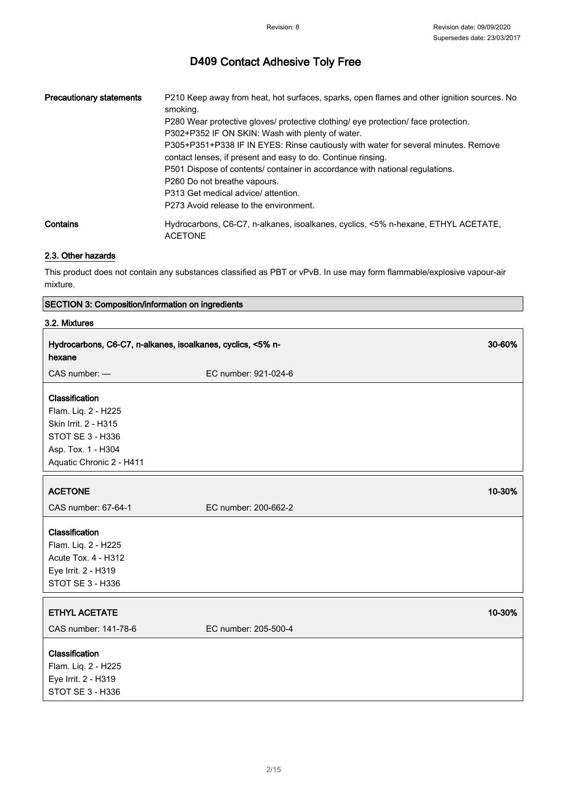| <b>Precautionary statements</b> | P210 Keep away from heat, hot surfaces, sparks, open flames and other ignition sources. No<br>smoking. |
|---------------------------------|--------------------------------------------------------------------------------------------------------|
|                                 | P280 Wear protective gloves/ protective clothing/ eye protection/ face protection.                     |
|                                 | P302+P352 IF ON SKIN: Wash with plenty of water.                                                       |
|                                 | P305+P351+P338 IF IN EYES: Rinse cautiously with water for several minutes. Remove                     |
|                                 | contact lenses, if present and easy to do. Continue rinsing.                                           |
|                                 | P501 Dispose of contents/ container in accordance with national regulations.                           |
|                                 | P260 Do not breathe vapours.                                                                           |
|                                 | P313 Get medical advice/ attention.                                                                    |
|                                 | P273 Avoid release to the environment.                                                                 |
| Contains                        | Hydrocarbons, C6-C7, n-alkanes, isoalkanes, cyclics, <5% n-hexane, ETHYL ACETATE,<br><b>ACETONE</b>    |

## 2.3. Other hazards

This product does not contain any substances classified as PBT or vPvB. In use may form flammable/explosive vapour-air mixture.

#### SECTION 3: Composition/information on ingredients

#### 3.2. Mixtures

| Hydrocarbons, C6-C7, n-alkanes, isoalkanes, cyclics, <5% n-<br>hexane                                                               |                      | 30-60% |
|-------------------------------------------------------------------------------------------------------------------------------------|----------------------|--------|
| CAS number: -                                                                                                                       | EC number: 921-024-6 |        |
| Classification<br>Flam. Liq. 2 - H225<br>Skin Irrit. 2 - H315<br>STOT SE 3 - H336<br>Asp. Tox. 1 - H304<br>Aquatic Chronic 2 - H411 |                      |        |
| <b>ACETONE</b>                                                                                                                      |                      | 10-30% |
| CAS number: 67-64-1                                                                                                                 | EC number: 200-662-2 |        |
| Classification<br>Flam. Liq. 2 - H225<br>Acute Tox. 4 - H312<br>Eye Irrit. 2 - H319<br>STOT SE 3 - H336                             |                      |        |
| <b>ETHYL ACETATE</b>                                                                                                                |                      | 10-30% |
| CAS number: 141-78-6                                                                                                                | EC number: 205-500-4 |        |
| Classification<br>Flam. Liq. 2 - H225<br>Eye Irrit. 2 - H319<br>STOT SE 3 - H336                                                    |                      |        |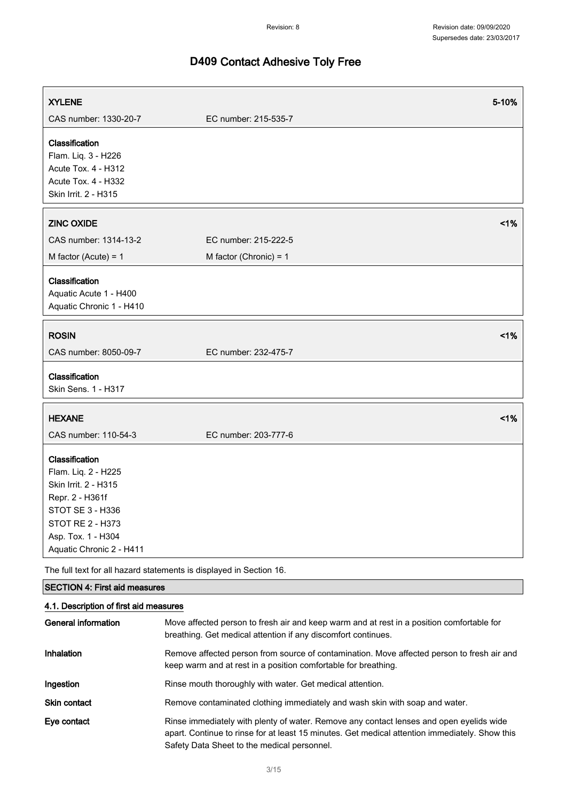٦

# **D409** Contact Adhesive Toly Free

 $\sqrt{2}$ 

| <b>XYLENE</b>                                                                                                                                                                     | 5-10%                                                                                                                                                                                     |  |
|-----------------------------------------------------------------------------------------------------------------------------------------------------------------------------------|-------------------------------------------------------------------------------------------------------------------------------------------------------------------------------------------|--|
| CAS number: 1330-20-7                                                                                                                                                             | EC number: 215-535-7                                                                                                                                                                      |  |
| Classification<br>Flam. Liq. 3 - H226<br>Acute Tox. 4 - H312<br>Acute Tox. 4 - H332<br>Skin Irrit. 2 - H315                                                                       |                                                                                                                                                                                           |  |
| <b>ZINC OXIDE</b>                                                                                                                                                                 | 1%                                                                                                                                                                                        |  |
| CAS number: 1314-13-2                                                                                                                                                             | EC number: 215-222-5                                                                                                                                                                      |  |
| M factor (Acute) = $1$                                                                                                                                                            | M factor (Chronic) = $1$                                                                                                                                                                  |  |
| Classification<br>Aquatic Acute 1 - H400<br>Aquatic Chronic 1 - H410                                                                                                              |                                                                                                                                                                                           |  |
| <b>ROSIN</b>                                                                                                                                                                      | 1%                                                                                                                                                                                        |  |
| CAS number: 8050-09-7                                                                                                                                                             | EC number: 232-475-7                                                                                                                                                                      |  |
| Classification<br>Skin Sens. 1 - H317                                                                                                                                             |                                                                                                                                                                                           |  |
| <b>HEXANE</b>                                                                                                                                                                     | 1%                                                                                                                                                                                        |  |
| CAS number: 110-54-3                                                                                                                                                              | EC number: 203-777-6                                                                                                                                                                      |  |
| Classification<br>Flam. Liq. 2 - H225<br>Skin Irrit. 2 - H315<br>Repr. 2 - H361f<br><b>STOT SE 3 - H336</b><br>STOT RE 2 - H373<br>Asp. Tox. 1 - H304<br>Aquatic Chronic 2 - H411 |                                                                                                                                                                                           |  |
| The full text for all hazard statements is displayed in Section 16.                                                                                                               |                                                                                                                                                                                           |  |
| <b>SECTION 4: First aid measures</b>                                                                                                                                              |                                                                                                                                                                                           |  |
| 4.1. Description of first aid measures                                                                                                                                            |                                                                                                                                                                                           |  |
| <b>General information</b>                                                                                                                                                        | Move affected person to fresh air and keep warm and at rest in a position comfortable for<br>breathing. Get medical attention if any discomfort continues.                                |  |
| Inhalation                                                                                                                                                                        | Remove affected person from source of contamination. Move affected person to fresh air and<br>keep warm and at rest in a position comfortable for breathing.                              |  |
| Ingestion                                                                                                                                                                         | Rinse mouth thoroughly with water. Get medical attention.                                                                                                                                 |  |
| Skin contact                                                                                                                                                                      | Remove contaminated clothing immediately and wash skin with soap and water.                                                                                                               |  |
| Eye contact                                                                                                                                                                       | Rinse immediately with plenty of water. Remove any contact lenses and open eyelids wide<br>apart. Continue to rinse for at least 15 minutes. Get medical attention immediately. Show this |  |

Safety Data Sheet to the medical personnel.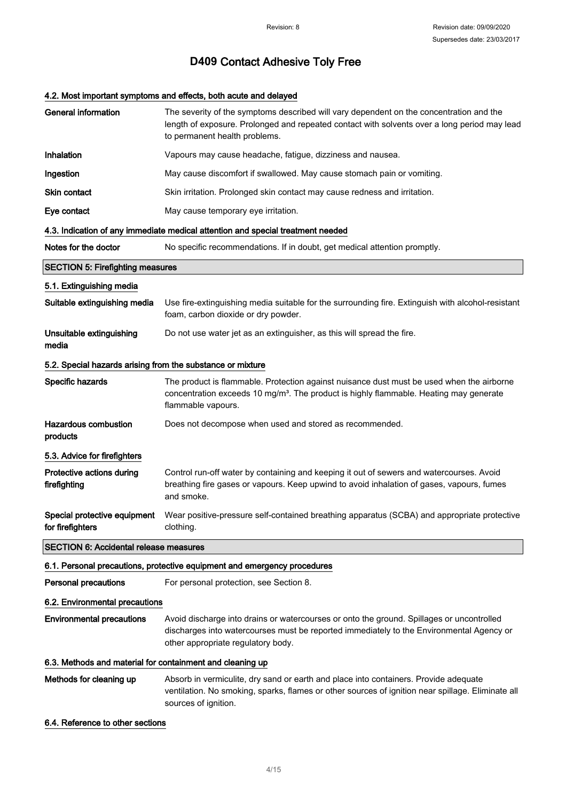## 4.2. Most important symptoms and effects, both acute and delayed

| <b>General information</b>                                 | The severity of the symptoms described will vary dependent on the concentration and the<br>length of exposure. Prolonged and repeated contact with solvents over a long period may lead<br>to permanent health problems.    |
|------------------------------------------------------------|-----------------------------------------------------------------------------------------------------------------------------------------------------------------------------------------------------------------------------|
| Inhalation                                                 | Vapours may cause headache, fatigue, dizziness and nausea.                                                                                                                                                                  |
| Ingestion                                                  | May cause discomfort if swallowed. May cause stomach pain or vomiting.                                                                                                                                                      |
| Skin contact                                               | Skin irritation. Prolonged skin contact may cause redness and irritation.                                                                                                                                                   |
| Eye contact                                                | May cause temporary eye irritation.                                                                                                                                                                                         |
|                                                            | 4.3. Indication of any immediate medical attention and special treatment needed                                                                                                                                             |
| Notes for the doctor                                       | No specific recommendations. If in doubt, get medical attention promptly.                                                                                                                                                   |
| <b>SECTION 5: Firefighting measures</b>                    |                                                                                                                                                                                                                             |
| 5.1. Extinguishing media                                   |                                                                                                                                                                                                                             |
| Suitable extinguishing media                               | Use fire-extinguishing media suitable for the surrounding fire. Extinguish with alcohol-resistant<br>foam, carbon dioxide or dry powder.                                                                                    |
| Unsuitable extinguishing<br>media                          | Do not use water jet as an extinguisher, as this will spread the fire.                                                                                                                                                      |
| 5.2. Special hazards arising from the substance or mixture |                                                                                                                                                                                                                             |
| Specific hazards                                           | The product is flammable. Protection against nuisance dust must be used when the airborne<br>concentration exceeds 10 mg/m <sup>3</sup> . The product is highly flammable. Heating may generate<br>flammable vapours.       |
| <b>Hazardous combustion</b><br>products                    | Does not decompose when used and stored as recommended.                                                                                                                                                                     |
| 5.3. Advice for firefighters                               |                                                                                                                                                                                                                             |
| Protective actions during<br>firefighting                  | Control run-off water by containing and keeping it out of sewers and watercourses. Avoid<br>breathing fire gases or vapours. Keep upwind to avoid inhalation of gases, vapours, fumes<br>and smoke.                         |
| Special protective equipment<br>for firefighters           | Wear positive-pressure self-contained breathing apparatus (SCBA) and appropriate protective<br>clothing                                                                                                                     |
| <b>SECTION 6: Accidental release measures</b>              |                                                                                                                                                                                                                             |
|                                                            | 6.1. Personal precautions, protective equipment and emergency procedures                                                                                                                                                    |
| <b>Personal precautions</b>                                | For personal protection, see Section 8.                                                                                                                                                                                     |
| 6.2. Environmental precautions                             |                                                                                                                                                                                                                             |
| <b>Environmental precautions</b>                           | Avoid discharge into drains or watercourses or onto the ground. Spillages or uncontrolled<br>discharges into watercourses must be reported immediately to the Environmental Agency or<br>other appropriate regulatory body. |
| 6.3. Methods and material for containment and cleaning up  |                                                                                                                                                                                                                             |
| Methods for cleaning up                                    | Absorb in vermiculite, dry sand or earth and place into containers. Provide adequate<br>ventilation. No smoking, sparks, flames or other sources of ignition near spillage. Eliminate all<br>sources of ignition.           |

6.4. Reference to other sections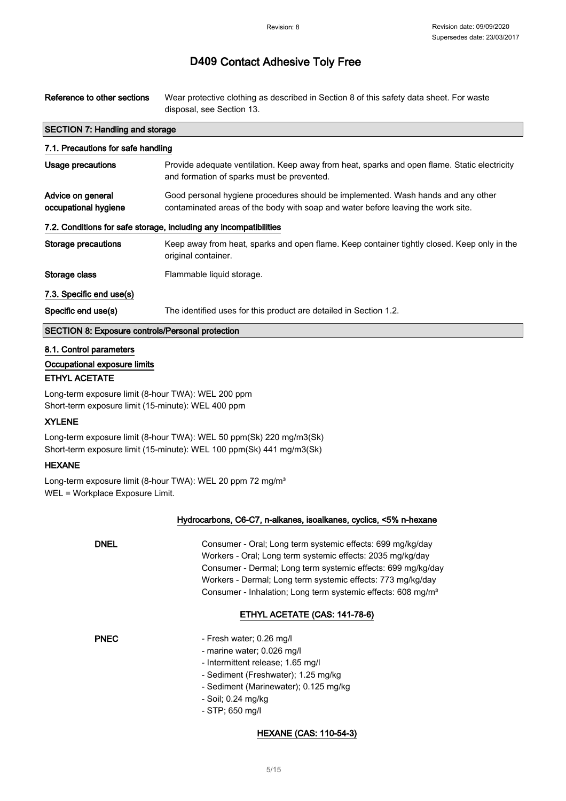Reference to other sections Wear protective clothing as described in Section 8 of this safety data sheet. For waste disposal, see Section 13.

| SECTION 7. Harrolling and storage                                 |                                                                                                                                                                      |  |
|-------------------------------------------------------------------|----------------------------------------------------------------------------------------------------------------------------------------------------------------------|--|
| 7.1. Precautions for safe handling                                |                                                                                                                                                                      |  |
| Usage precautions                                                 | Provide adequate ventilation. Keep away from heat, sparks and open flame. Static electricity<br>and formation of sparks must be prevented.                           |  |
| Advice on general<br>occupational hygiene                         | Good personal hygiene procedures should be implemented. Wash hands and any other<br>contaminated areas of the body with soap and water before leaving the work site. |  |
| 7.2. Conditions for safe storage, including any incompatibilities |                                                                                                                                                                      |  |
| Storage precautions                                               | Keep away from heat, sparks and open flame. Keep container tightly closed. Keep only in the<br>original container.                                                   |  |
| Storage class                                                     | Flammable liquid storage.                                                                                                                                            |  |
| 7.3. Specific end use(s)                                          |                                                                                                                                                                      |  |
| Specific end use(s)                                               | The identified uses for this product are detailed in Section 1.2.                                                                                                    |  |
| SECTION 8: Exposure controls/Personal protection                  |                                                                                                                                                                      |  |
|                                                                   |                                                                                                                                                                      |  |

#### 8.1. Control parameters

Occupational exposure limits

SECTION 7: Handling and sto

#### ETHYL ACETATE

Long-term exposure limit (8-hour TWA): WEL 200 ppm Short-term exposure limit (15-minute): WEL 400 ppm

#### **XYLENE**

Long-term exposure limit (8-hour TWA): WEL 50 ppm(Sk) 220 mg/m3(Sk) Short-term exposure limit (15-minute): WEL 100 ppm(Sk) 441 mg/m3(Sk)

### HEXANE

Long-term exposure limit (8-hour TWA): WEL 20 ppm 72 mg/m<sup>3</sup> WEL = Workplace Exposure Limit.

#### Hydrocarbons, C6-C7, n-alkanes, isoalkanes, cyclics, <5% n-hexane

DNEL Consumer - Oral; Long term systemic effects: 699 mg/kg/day Workers - Oral; Long term systemic effects: 2035 mg/kg/day Consumer - Dermal; Long term systemic effects: 699 mg/kg/day Workers - Dermal; Long term systemic effects: 773 mg/kg/day Consumer - Inhalation; Long term systemic effects: 608 mg/m<sup>3</sup>

### ETHYL ACETATE (CAS: 141-78-6)

- PNEC Fresh water; 0.26 mg/l
	- marine water; 0.026 mg/l
	- Intermittent release; 1.65 mg/l
	- Sediment (Freshwater); 1.25 mg/kg
	- Sediment (Marinewater); 0.125 mg/kg
	- Soil; 0.24 mg/kg
	- STP; 650 mg/l

#### HEXANE (CAS: 110-54-3)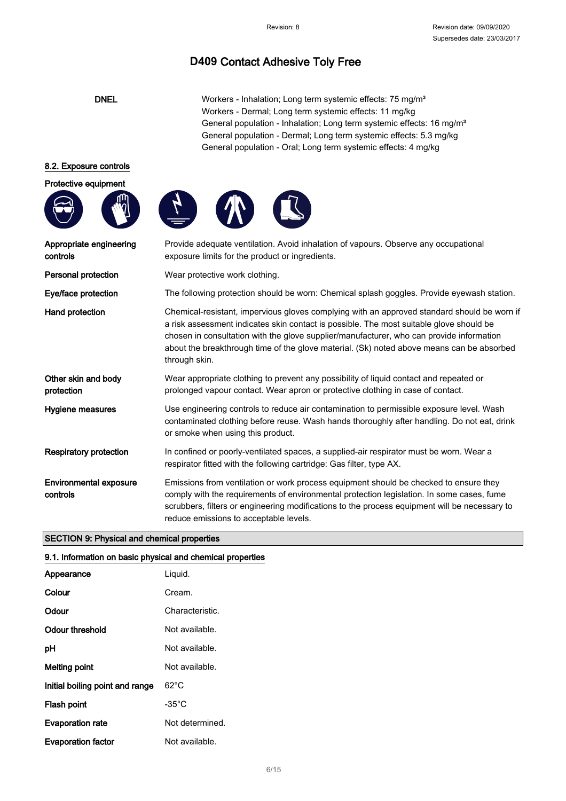DNEL Workers - Inhalation; Long term systemic effects: 75 mg/m<sup>3</sup> Workers - Dermal; Long term systemic effects: 11 mg/kg General population - Inhalation; Long term systemic effects: 16 mg/m<sup>3</sup> General population - Dermal; Long term systemic effects: 5.3 mg/kg General population - Oral; Long term systemic effects: 4 mg/kg

#### 8.2. Exposure controls

Protective equipment







| Appropriate engineering<br>controls       | Provide adequate ventilation. Avoid inhalation of vapours. Observe any occupational<br>exposure limits for the product or ingredients.                                                                                                                                                                                                                                                           |
|-------------------------------------------|--------------------------------------------------------------------------------------------------------------------------------------------------------------------------------------------------------------------------------------------------------------------------------------------------------------------------------------------------------------------------------------------------|
| Personal protection                       | Wear protective work clothing.                                                                                                                                                                                                                                                                                                                                                                   |
| Eye/face protection                       | The following protection should be worn: Chemical splash goggles. Provide eyewash station.                                                                                                                                                                                                                                                                                                       |
| <b>Hand protection</b>                    | Chemical-resistant, impervious gloves complying with an approved standard should be worn if<br>a risk assessment indicates skin contact is possible. The most suitable glove should be<br>chosen in consultation with the glove supplier/manufacturer, who can provide information<br>about the breakthrough time of the glove material. (Sk) noted above means can be absorbed<br>through skin. |
| Other skin and body<br>protection         | Wear appropriate clothing to prevent any possibility of liquid contact and repeated or<br>prolonged vapour contact. Wear apron or protective clothing in case of contact.                                                                                                                                                                                                                        |
| Hygiene measures                          | Use engineering controls to reduce air contamination to permissible exposure level. Wash<br>contaminated clothing before reuse. Wash hands thoroughly after handling. Do not eat, drink<br>or smoke when using this product.                                                                                                                                                                     |
| <b>Respiratory protection</b>             | In confined or poorly-ventilated spaces, a supplied-air respirator must be worn. Wear a<br>respirator fitted with the following cartridge: Gas filter, type AX.                                                                                                                                                                                                                                  |
| <b>Environmental exposure</b><br>controls | Emissions from ventilation or work process equipment should be checked to ensure they<br>comply with the requirements of environmental protection legislation. In some cases, fume<br>scrubbers, filters or engineering modifications to the process equipment will be necessary to<br>reduce emissions to acceptable levels.                                                                    |

### SECTION 9: Physical and chemical properties

#### 9.1. Information on basic physical and chemical properties

| Appearance                      | Liguid.         |
|---------------------------------|-----------------|
| Colour                          | Cream.          |
| Odour                           | Characteristic. |
| Odour threshold                 | Not available.  |
| рH                              | Not available.  |
| Melting point                   | Not available.  |
| Initial boiling point and range | 62°C            |
| Flash point                     | -35°C           |
| <b>Evaporation rate</b>         | Not determined. |
| <b>Evaporation factor</b>       | Not available.  |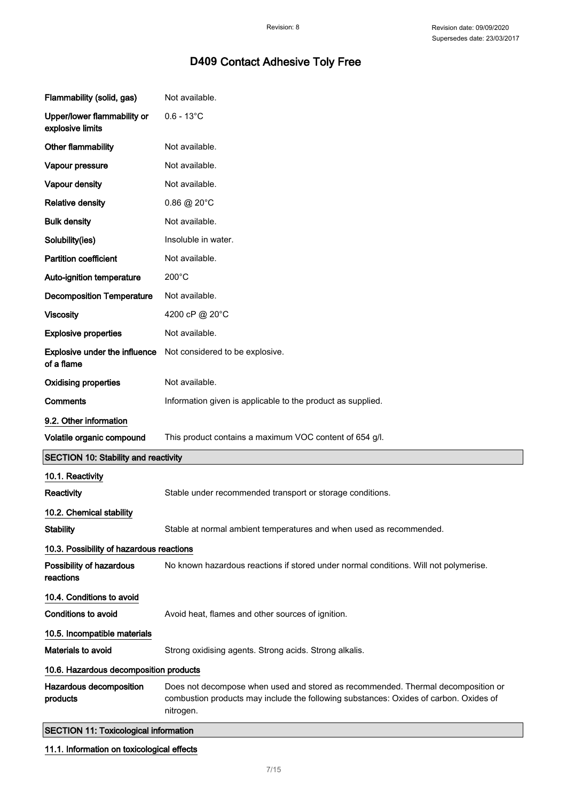| Flammability (solid, gas)                                                         | Not available.                                                                                                                                                                         |
|-----------------------------------------------------------------------------------|----------------------------------------------------------------------------------------------------------------------------------------------------------------------------------------|
| Upper/lower flammability or<br>explosive limits                                   | $0.6 - 13^{\circ}$ C                                                                                                                                                                   |
| Other flammability                                                                | Not available.                                                                                                                                                                         |
| Vapour pressure                                                                   | Not available.                                                                                                                                                                         |
| Vapour density                                                                    | Not available.                                                                                                                                                                         |
| <b>Relative density</b>                                                           | $0.86 \ @ 20^{\circ}$ C                                                                                                                                                                |
| <b>Bulk density</b>                                                               | Not available.                                                                                                                                                                         |
| Solubility(ies)                                                                   | Insoluble in water.                                                                                                                                                                    |
| <b>Partition coefficient</b>                                                      | Not available.                                                                                                                                                                         |
| Auto-ignition temperature                                                         | $200^{\circ}$ C                                                                                                                                                                        |
| <b>Decomposition Temperature</b>                                                  | Not available.                                                                                                                                                                         |
| <b>Viscosity</b>                                                                  | 4200 cP @ 20°C                                                                                                                                                                         |
| <b>Explosive properties</b>                                                       | Not available.                                                                                                                                                                         |
| <b>Explosive under the influence</b><br>of a flame                                | Not considered to be explosive.                                                                                                                                                        |
| <b>Oxidising properties</b>                                                       | Not available.                                                                                                                                                                         |
| <b>Comments</b>                                                                   | Information given is applicable to the product as supplied.                                                                                                                            |
| 9.2. Other information                                                            |                                                                                                                                                                                        |
| Volatile organic compound                                                         | This product contains a maximum VOC content of 654 g/l.                                                                                                                                |
| <b>SECTION 10: Stability and reactivity</b>                                       |                                                                                                                                                                                        |
| 10.1. Reactivity<br>Reactivity                                                    | Stable under recommended transport or storage conditions.                                                                                                                              |
| 10.2. Chemical stability                                                          |                                                                                                                                                                                        |
| <b>Stability</b>                                                                  | Stable at normal ambient temperatures and when used as recommended.                                                                                                                    |
| 10.3. Possibility of hazardous reactions<br>Possibility of hazardous<br>reactions | No known hazardous reactions if stored under normal conditions. Will not polymerise.                                                                                                   |
| 10.4. Conditions to avoid<br><b>Conditions to avoid</b>                           | Avoid heat, flames and other sources of ignition.                                                                                                                                      |
| 10.5. Incompatible materials                                                      |                                                                                                                                                                                        |
| <b>Materials to avoid</b>                                                         | Strong oxidising agents. Strong acids. Strong alkalis.                                                                                                                                 |
| 10.6. Hazardous decomposition products                                            |                                                                                                                                                                                        |
| Hazardous decomposition<br>products                                               | Does not decompose when used and stored as recommended. Thermal decomposition or<br>combustion products may include the following substances: Oxides of carbon. Oxides of<br>nitrogen. |
| <b>SECTION 11: Toxicological information</b>                                      |                                                                                                                                                                                        |

## 11.1. Information on toxicological effects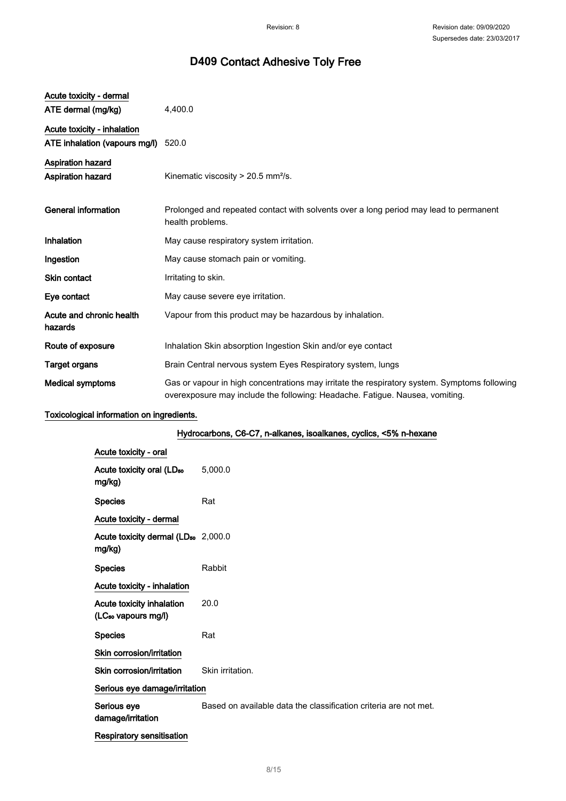| Acute toxicity - dermal<br>ATE dermal (mg/kg)                | 4,400.0                                                                                                                                                                      |
|--------------------------------------------------------------|------------------------------------------------------------------------------------------------------------------------------------------------------------------------------|
| Acute toxicity - inhalation<br>ATE inhalation (vapours mg/l) | 520.0                                                                                                                                                                        |
| <b>Aspiration hazard</b><br><b>Aspiration hazard</b>         | Kinematic viscosity > 20.5 mm <sup>2</sup> /s.                                                                                                                               |
| <b>General information</b>                                   | Prolonged and repeated contact with solvents over a long period may lead to permanent<br>health problems.                                                                    |
| Inhalation                                                   | May cause respiratory system irritation.                                                                                                                                     |
| Ingestion                                                    | May cause stomach pain or vomiting.                                                                                                                                          |
| <b>Skin contact</b>                                          | Irritating to skin.                                                                                                                                                          |
| Eye contact                                                  | May cause severe eye irritation.                                                                                                                                             |
| Acute and chronic health<br>hazards                          | Vapour from this product may be hazardous by inhalation.                                                                                                                     |
| Route of exposure                                            | Inhalation Skin absorption Ingestion Skin and/or eye contact                                                                                                                 |
| <b>Target organs</b>                                         | Brain Central nervous system Eyes Respiratory system, lungs                                                                                                                  |
| <b>Medical symptoms</b>                                      | Gas or vapour in high concentrations may irritate the respiratory system. Symptoms following<br>overexposure may include the following: Headache. Fatigue. Nausea, vomiting. |

## Toxicological information on ingredients.

## Hydrocarbons, C6-C7, n-alkanes, isoalkanes, cyclics, <5% n-hexane

| Acute toxicity - oral                                        |                                                                  |
|--------------------------------------------------------------|------------------------------------------------------------------|
| Acute toxicity oral (LD <sub>50</sub><br>mg/kg)              | 5,000.0                                                          |
| <b>Species</b>                                               | Rat                                                              |
| Acute toxicity - dermal                                      |                                                                  |
| Acute toxicity dermal (LD <sub>50</sub> 2,000.0<br>mg/kg)    |                                                                  |
| <b>Species</b>                                               | Rabbit                                                           |
| Acute toxicity - inhalation                                  |                                                                  |
| Acute toxicity inhalation<br>(LC <sub>50</sub> vapours mg/l) | 20.0                                                             |
| <b>Species</b>                                               | Rat                                                              |
| Skin corrosion/irritation                                    |                                                                  |
| Skin corrosion/irritation                                    | Skin irritation.                                                 |
| Serious eye damage/irritation                                |                                                                  |
| Serious eye<br>damage/irritation                             | Based on available data the classification criteria are not met. |
| <b>Respiratory sensitisation</b>                             |                                                                  |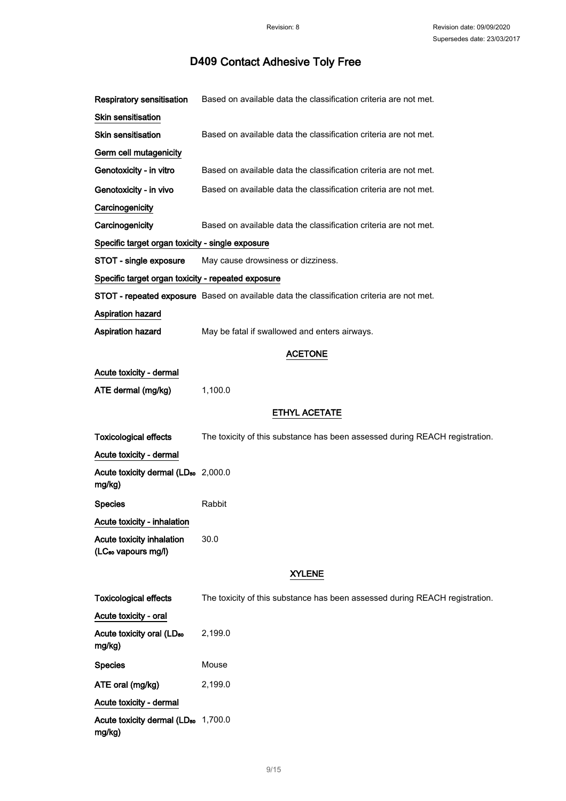| <b>Respiratory sensitisation</b>                                    | Based on available data the classification criteria are not met.                          |
|---------------------------------------------------------------------|-------------------------------------------------------------------------------------------|
| Skin sensitisation                                                  |                                                                                           |
| Skin sensitisation                                                  | Based on available data the classification criteria are not met.                          |
| Germ cell mutagenicity                                              |                                                                                           |
| Genotoxicity - in vitro                                             | Based on available data the classification criteria are not met.                          |
| Genotoxicity - in vivo                                              | Based on available data the classification criteria are not met.                          |
| Carcinogenicity                                                     |                                                                                           |
| Carcinogenicity                                                     | Based on available data the classification criteria are not met.                          |
| Specific target organ toxicity - single exposure                    |                                                                                           |
| STOT - single exposure                                              | May cause drowsiness or dizziness.                                                        |
| Specific target organ toxicity - repeated exposure                  |                                                                                           |
|                                                                     | STOT - repeated exposure Based on available data the classification criteria are not met. |
| <b>Aspiration hazard</b>                                            |                                                                                           |
| Aspiration hazard                                                   | May be fatal if swallowed and enters airways.                                             |
|                                                                     | <b>ACETONE</b>                                                                            |
| Acute toxicity - dermal                                             |                                                                                           |
| ATE dermal (mg/kg)                                                  | 1,100.0                                                                                   |
|                                                                     | <b>ETHYL ACETATE</b>                                                                      |
|                                                                     |                                                                                           |
| <b>Toxicological effects</b>                                        | The toxicity of this substance has been assessed during REACH registration.               |
| Acute toxicity - dermal                                             |                                                                                           |
| Acute toxicity dermal (LD <sub>50</sub> 2,000.0<br>mg/kg)           |                                                                                           |
| <b>Species</b>                                                      | Rabbit                                                                                    |
| <b>Acute toxicity - inhalation</b>                                  |                                                                                           |
| <b>Acute toxicity inhalation</b><br>(LC <sub>50</sub> vapours mg/l) | 30.0                                                                                      |
|                                                                     | <b>XYLENE</b>                                                                             |
| <b>Toxicological effects</b>                                        | The toxicity of this substance has been assessed during REACH registration.               |
| Acute toxicity - oral                                               |                                                                                           |
| Acute toxicity oral (LD <sub>50</sub><br>mg/kg)                     | 2,199.0                                                                                   |
| <b>Species</b>                                                      | Mouse                                                                                     |
| ATE oral (mg/kg)                                                    | 2,199.0                                                                                   |
| Acute toxicity - dermal                                             |                                                                                           |
| Acute toxicity dermal (LD <sub>50</sub> 1,700.0<br>mg/kg)           |                                                                                           |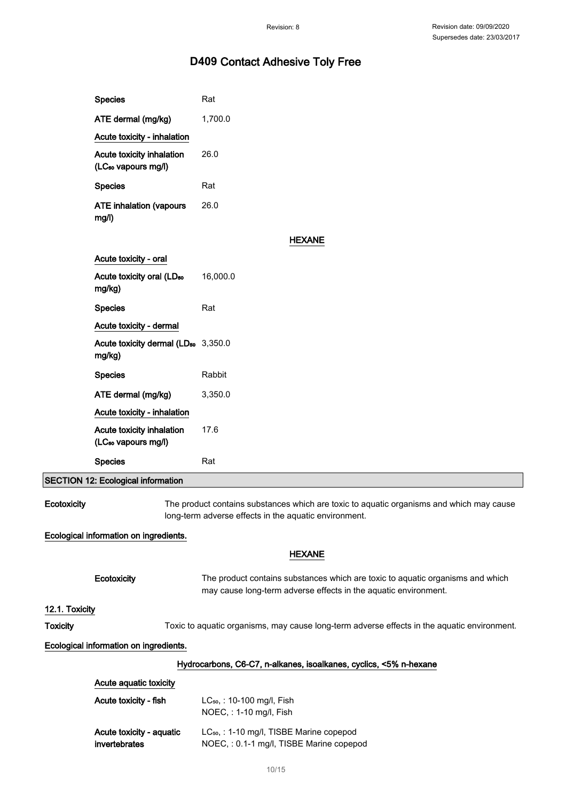|                 | <b>Species</b>                                               | Rat                                                                                                                                               |
|-----------------|--------------------------------------------------------------|---------------------------------------------------------------------------------------------------------------------------------------------------|
|                 | ATE dermal (mg/kg)                                           | 1,700.0                                                                                                                                           |
|                 | Acute toxicity - inhalation                                  |                                                                                                                                                   |
|                 | Acute toxicity inhalation<br>(LC <sub>50</sub> vapours mg/l) | 26.0                                                                                                                                              |
|                 | <b>Species</b>                                               | Rat                                                                                                                                               |
|                 | <b>ATE inhalation (vapours</b><br>mg/l)                      | 26.0                                                                                                                                              |
|                 |                                                              | <b>HEXANE</b>                                                                                                                                     |
|                 | Acute toxicity - oral                                        |                                                                                                                                                   |
|                 | Acute toxicity oral (LD <sub>50</sub><br>mg/kg)              | 16,000.0                                                                                                                                          |
|                 | <b>Species</b>                                               | Rat                                                                                                                                               |
|                 | Acute toxicity - dermal                                      |                                                                                                                                                   |
|                 | Acute toxicity dermal (LD <sub>50</sub> 3,350.0<br>mg/kg)    |                                                                                                                                                   |
|                 | <b>Species</b>                                               | Rabbit                                                                                                                                            |
|                 | ATE dermal (mg/kg)                                           | 3,350.0                                                                                                                                           |
|                 | Acute toxicity - inhalation                                  |                                                                                                                                                   |
|                 | Acute toxicity inhalation<br>(LC <sub>50</sub> vapours mg/l) | 17.6                                                                                                                                              |
|                 | <b>Species</b>                                               | Rat                                                                                                                                               |
|                 | SECTION 12: Ecological information                           |                                                                                                                                                   |
| Ecotoxicity     |                                                              | The product contains substances which are toxic to aquatic organisms and which may cause<br>long-term adverse effects in the aquatic environment. |
|                 | Ecological information on ingredients.                       |                                                                                                                                                   |
|                 |                                                              | <b>HEXANE</b>                                                                                                                                     |
|                 | Ecotoxicity                                                  | The product contains substances which are toxic to aquatic organisms and which<br>may cause long-term adverse effects in the aquatic environment. |
| 12.1. Toxicity  |                                                              |                                                                                                                                                   |
| <b>Toxicity</b> |                                                              | Toxic to aquatic organisms, may cause long-term adverse effects in the aquatic environment.                                                       |
|                 | Ecological information on ingredients.                       |                                                                                                                                                   |
|                 |                                                              | Hydrocarbons, C6-C7, n-alkanes, isoalkanes, cyclics, <5% n-hexane                                                                                 |
|                 | Acute aquatic toxicity                                       |                                                                                                                                                   |
|                 | Acute toxicity - fish                                        | LC <sub>50</sub> , : 10-100 mg/l, Fish<br>NOEC, : 1-10 mg/l, Fish                                                                                 |
|                 | Acute toxicity - aquatic<br>invertebrates                    | LC <sub>50</sub> , : 1-10 mg/l, TISBE Marine copepod<br>NOEC, : 0.1-1 mg/l, TISBE Marine copepod                                                  |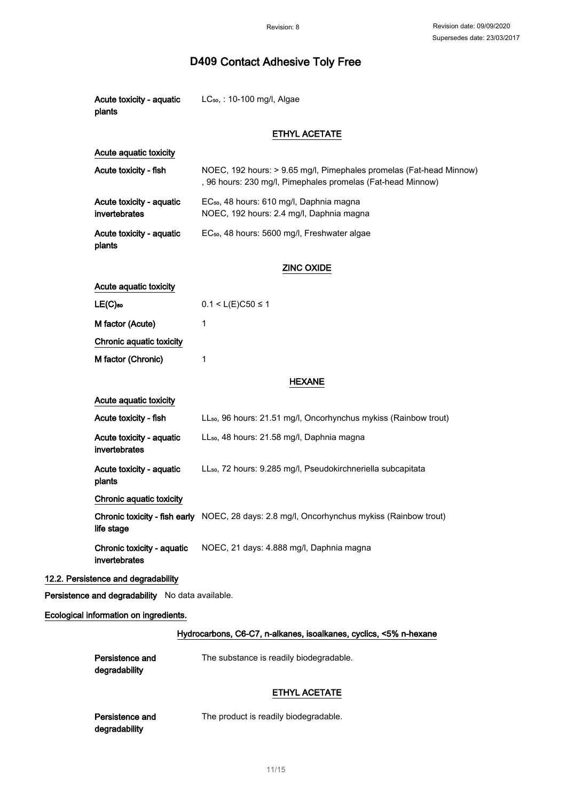| Acute toxicity - aquatic<br>plants               | LC <sub>50</sub> , : 10-100 mg/l, Algae                                                                                            |
|--------------------------------------------------|------------------------------------------------------------------------------------------------------------------------------------|
|                                                  | <b>ETHYL ACETATE</b>                                                                                                               |
| Acute aquatic toxicity                           |                                                                                                                                    |
| Acute toxicity - fish                            | NOEC, 192 hours: > 9.65 mg/l, Pimephales promelas (Fat-head Minnow)<br>, 96 hours: 230 mg/l, Pimephales promelas (Fat-head Minnow) |
| Acute toxicity - aquatic<br>invertebrates        | EC <sub>50</sub> , 48 hours: 610 mg/l, Daphnia magna<br>NOEC, 192 hours: 2.4 mg/l, Daphnia magna                                   |
| Acute toxicity - aquatic<br>plants               | EC <sub>50</sub> , 48 hours: 5600 mg/l, Freshwater algae                                                                           |
|                                                  | <b>ZINC OXIDE</b>                                                                                                                  |
| Acute aquatic toxicity                           |                                                                                                                                    |
| $LE(C)$ so                                       | $0.1 < L(E)C50 \le 1$                                                                                                              |
| M factor (Acute)                                 | 1                                                                                                                                  |
| Chronic aquatic toxicity                         |                                                                                                                                    |
| M factor (Chronic)                               | 1                                                                                                                                  |
| <b>HEXANE</b>                                    |                                                                                                                                    |
| Acute aquatic toxicity                           |                                                                                                                                    |
| Acute toxicity - fish                            | LL <sub>50</sub> , 96 hours: 21.51 mg/l, Oncorhynchus mykiss (Rainbow trout)                                                       |
| Acute toxicity - aquatic<br>invertebrates        | LL <sub>50</sub> , 48 hours: 21.58 mg/l, Daphnia magna                                                                             |
| Acute toxicity - aquatic<br>plants               | LL <sub>50</sub> , 72 hours: 9.285 mg/l, Pseudokirchneriella subcapitata                                                           |
| Chronic aquatic toxicity                         |                                                                                                                                    |
| life stage                                       | Chronic toxicity - fish early NOEC, 28 days: 2.8 mg/l, Oncorhynchus mykiss (Rainbow trout)                                         |
| Chronic toxicity - aquatic<br>invertebrates      | NOEC, 21 days: 4.888 mg/l, Daphnia magna                                                                                           |
| 12.2. Persistence and degradability              |                                                                                                                                    |
| Persistence and degradability No data available. |                                                                                                                                    |
| Ecological information on ingredients.           |                                                                                                                                    |
|                                                  | Hydrocarbons, C6-C7, n-alkanes, isoalkanes, cyclics, <5% n-hexane                                                                  |
| Persistence and<br>degradability                 | The substance is readily biodegradable.                                                                                            |
|                                                  | <b>ETHYL ACETATE</b>                                                                                                               |
| Persistence and<br>degradability                 | The product is readily biodegradable.                                                                                              |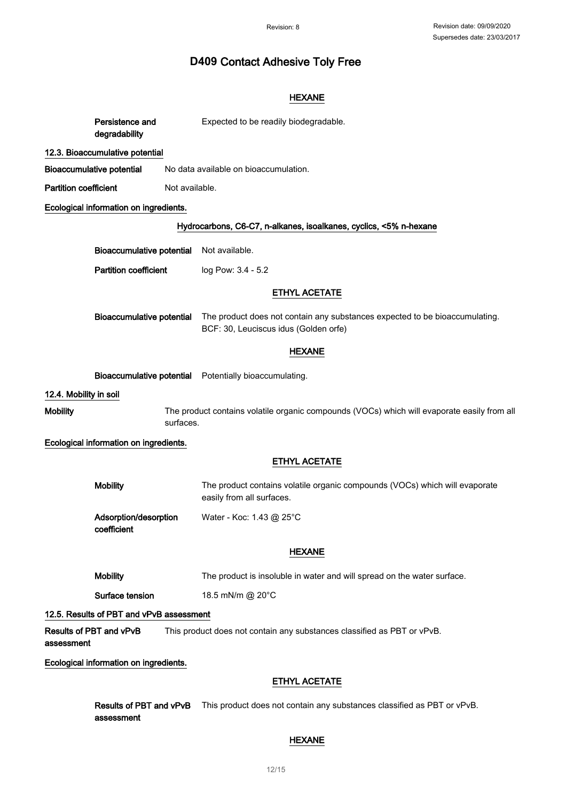## HEXANE

|                              | Persistence and<br>degradability         | Expected to be readily biodegradable.                                                                                |
|------------------------------|------------------------------------------|----------------------------------------------------------------------------------------------------------------------|
|                              | 12.3. Bioaccumulative potential          |                                                                                                                      |
|                              | <b>Bioaccumulative potential</b>         | No data available on bioaccumulation.                                                                                |
| <b>Partition coefficient</b> | Not available.                           |                                                                                                                      |
|                              | Ecological information on ingredients.   |                                                                                                                      |
|                              |                                          | Hydrocarbons, C6-C7, n-alkanes, isoalkanes, cyclics, <5% n-hexane                                                    |
|                              | <b>Bioaccumulative potential</b>         | Not available.                                                                                                       |
|                              | <b>Partition coefficient</b>             | log Pow: 3.4 - 5.2                                                                                                   |
|                              |                                          | <b>ETHYL ACETATE</b>                                                                                                 |
|                              | <b>Bioaccumulative potential</b>         | The product does not contain any substances expected to be bioaccumulating.<br>BCF: 30, Leuciscus idus (Golden orfe) |
|                              |                                          | <b>HEXANE</b>                                                                                                        |
|                              |                                          | Bioaccumulative potential Potentially bioaccumulating.                                                               |
| 12.4. Mobility in soil       |                                          |                                                                                                                      |
| <b>Mobility</b>              | surfaces.                                | The product contains volatile organic compounds (VOCs) which will evaporate easily from all                          |
|                              | Ecological information on ingredients.   |                                                                                                                      |
|                              |                                          | <b>ETHYL ACETATE</b>                                                                                                 |
|                              | <b>Mobility</b>                          | The product contains volatile organic compounds (VOCs) which will evaporate<br>easily from all surfaces.             |
|                              | Adsorption/desorption<br>coefficient     | Water - Koc: 1.43 @ 25°C                                                                                             |
|                              |                                          | HEXANE                                                                                                               |
|                              | <b>Mobility</b>                          | The product is insoluble in water and will spread on the water surface.                                              |
|                              | Surface tension                          | 18.5 mN/m @ 20°C                                                                                                     |
|                              | 12.5. Results of PBT and vPvB assessment |                                                                                                                      |
| assessment                   | Results of PBT and vPvB                  | This product does not contain any substances classified as PBT or vPvB.                                              |
|                              | Ecological information on ingredients.   |                                                                                                                      |
|                              |                                          | <b>ETHYL ACETATE</b>                                                                                                 |
|                              | Results of PBT and vPvB<br>assessment    | This product does not contain any substances classified as PBT or vPvB.                                              |

### HEXANE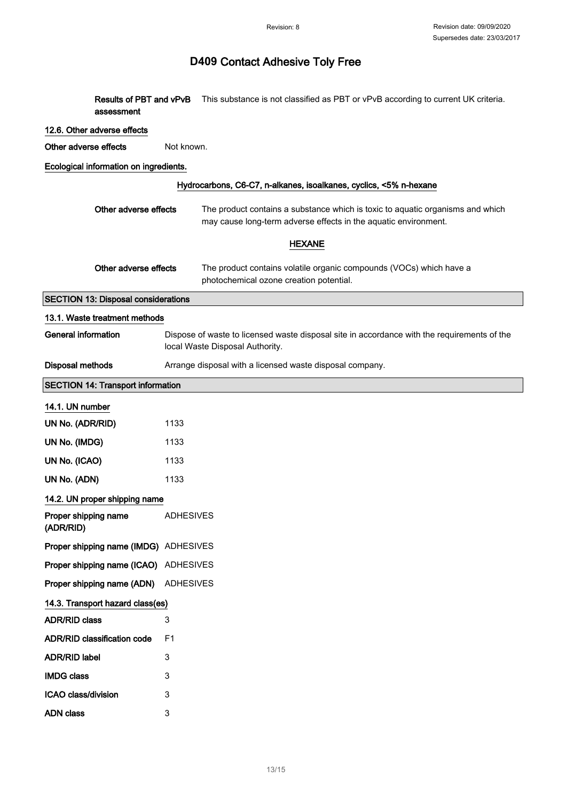Results of PBT and vPvB This substance is not classified as PBT or vPvB according to current UK criteria. assessment

#### 12.6. Other adverse effects

Other adverse effects Not known.

### Ecological information on ingredients.

ADN class 3

| Hydrocarbons, C6-C7, n-alkanes, isoalkanes, cyclics, <5% n-hexane |                                                                                                                                                   |  |
|-------------------------------------------------------------------|---------------------------------------------------------------------------------------------------------------------------------------------------|--|
| Other adverse effects                                             | The product contains a substance which is toxic to aquatic organisms and which<br>may cause long-term adverse effects in the aquatic environment. |  |
|                                                                   | <b>HEXANE</b>                                                                                                                                     |  |
| Other adverse effects                                             | The product contains volatile organic compounds (VOCs) which have a<br>photochemical ozone creation potential.                                    |  |
| <b>SECTION 13: Disposal considerations</b>                        |                                                                                                                                                   |  |
| 13.1. Waste treatment methods                                     |                                                                                                                                                   |  |
| <b>General information</b>                                        | Dispose of waste to licensed waste disposal site in accordance with the requirements of the<br>local Waste Disposal Authority.                    |  |
| <b>Disposal methods</b>                                           | Arrange disposal with a licensed waste disposal company.                                                                                          |  |
| <b>SECTION 14: Transport information</b>                          |                                                                                                                                                   |  |
| 14.1. UN number                                                   |                                                                                                                                                   |  |
| UN No. (ADR/RID)                                                  | 1133                                                                                                                                              |  |
| UN No. (IMDG)                                                     | 1133                                                                                                                                              |  |
| UN No. (ICAO)                                                     | 1133                                                                                                                                              |  |
| UN No. (ADN)                                                      | 1133                                                                                                                                              |  |
| 14.2. UN proper shipping name                                     |                                                                                                                                                   |  |
| Proper shipping name<br>(ADR/RID)                                 | <b>ADHESIVES</b>                                                                                                                                  |  |
| Proper shipping name (IMDG) ADHESIVES                             |                                                                                                                                                   |  |
| Proper shipping name (ICAO)                                       | ADHESIVES                                                                                                                                         |  |
| Proper shipping name (ADN)                                        | <b>ADHESIVES</b>                                                                                                                                  |  |
| 14.3. Transport hazard class(es)                                  |                                                                                                                                                   |  |
| <b>ADR/RID class</b>                                              | 3                                                                                                                                                 |  |
| <b>ADR/RID classification code</b>                                | F <sub>1</sub>                                                                                                                                    |  |
| <b>ADR/RID label</b>                                              | 3                                                                                                                                                 |  |
| <b>IMDG class</b>                                                 | 3                                                                                                                                                 |  |
| ICAO class/division                                               | 3                                                                                                                                                 |  |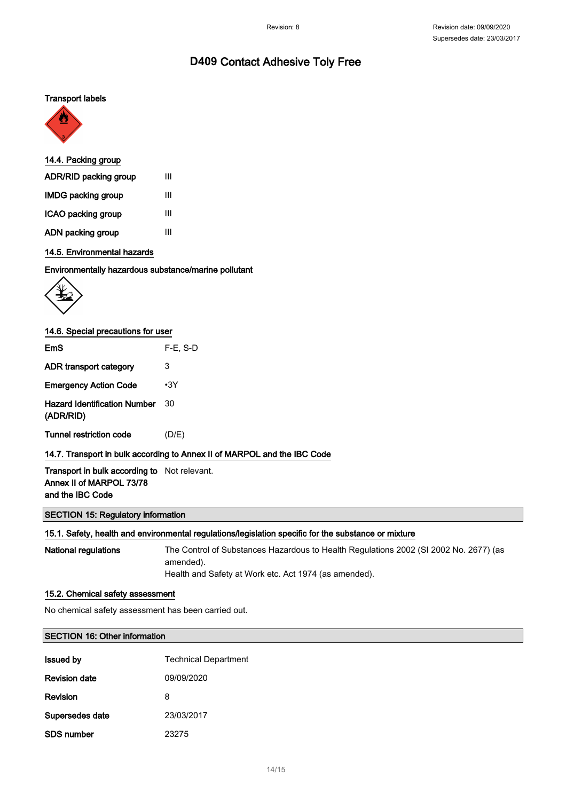## Transport labels



### 14.4. Packing group

| ADR/RID packing group     | Ш |
|---------------------------|---|
| <b>IMDG packing group</b> | Ш |
| ICAO packing group        | Ш |
| ADN packing group         | Ш |

### 14.5. Environmental hazards

#### Environmentally hazardous substance/marine pollutant



### 14.6. Special precautions for user

| EmS                                                                                                 | $F-E. S-D$                                                               |
|-----------------------------------------------------------------------------------------------------|--------------------------------------------------------------------------|
| ADR transport category                                                                              | 3                                                                        |
| <b>Emergency Action Code</b>                                                                        | $\cdot$ 3Y                                                               |
| <b>Hazard Identification Number</b><br>(ADR/RID)                                                    | 30                                                                       |
| Tunnel restriction code                                                                             | (D/E)                                                                    |
|                                                                                                     | 14.7. Transport in bulk according to Annex II of MARPOL and the IBC Code |
| <b>Transport in bulk according to</b> Not relevant.<br>Annex II of MARPOL 73/78<br>and the IBC Code |                                                                          |

### SECTION 15: Regulatory information

#### 15.1. Safety, health and environmental regulations/legislation specific for the substance or mixture

National regulations The Control of Substances Hazardous to Health Regulations 2002 (SI 2002 No. 2677) (as amended). Health and Safety at Work etc. Act 1974 (as amended).

#### 15.2. Chemical safety assessment

No chemical safety assessment has been carried out.

#### SECTION 16: Other information

| <b>Issued by</b>     | <b>Technical Department</b> |
|----------------------|-----------------------------|
| <b>Revision date</b> | 09/09/2020                  |
| Revision             | 8                           |
| Supersedes date      | 23/03/2017                  |
| SDS number           | 23275                       |